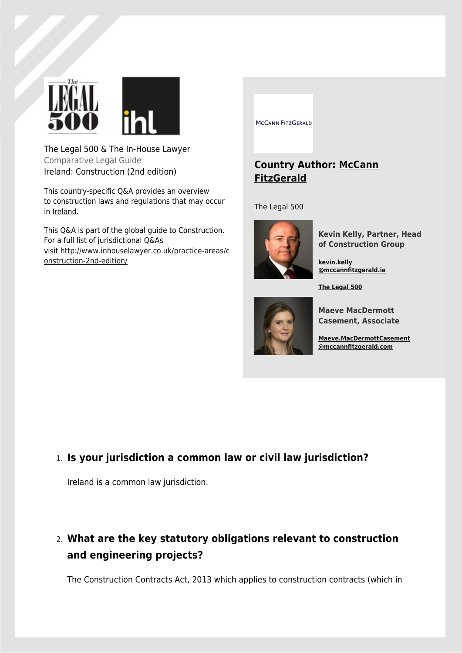

The Legal 500 & The In-House Lawyer Comparative Legal Guide Ireland: Construction (2nd edition)

This country-specific Q&A provides an overview to construction laws and regulations that may occur in Ireland.

This Q&A is part of the global guide to Construction. For a full list of jurisdictional Q&As visit http://www.inhouselawyer.co.uk/practice-areas/c onstruction-2nd-edition/

MCCANN FITZGERALD

### **Country Author: McCann FitzGerald**

The Legal 500



**Kevin Kelly, Partner, Head of Construction Group**

**kevin.kelly @mccannfitzgerald.ie**

**The Legal 500**



**Maeve MacDermott Casement, Associate**

**Maeve.MacDermottCasement @mccannfitzgerald.com**

### 1. **Is your jurisdiction a common law or civil law jurisdiction?**

Ireland is a common law jurisdiction.

# 2. **What are the key statutory obligations relevant to construction and engineering projects?**

The Construction Contracts Act, 2013 which applies to construction contracts (which in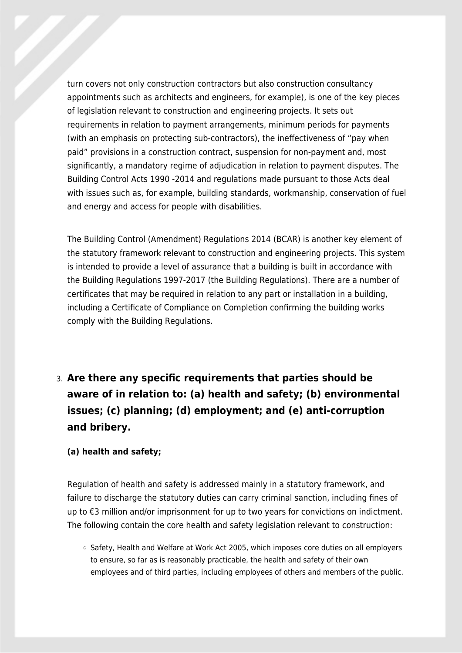turn covers not only construction contractors but also construction consultancy appointments such as architects and engineers, for example), is one of the key pieces of legislation relevant to construction and engineering projects. It sets out requirements in relation to payment arrangements, minimum periods for payments (with an emphasis on protecting sub-contractors), the ineffectiveness of "pay when paid" provisions in a construction contract, suspension for non-payment and, most significantly, a mandatory regime of adjudication in relation to payment disputes. The Building Control Acts 1990 -2014 and regulations made pursuant to those Acts deal with issues such as, for example, building standards, workmanship, conservation of fuel and energy and access for people with disabilities.

The Building Control (Amendment) Regulations 2014 (BCAR) is another key element of the statutory framework relevant to construction and engineering projects. This system is intended to provide a level of assurance that a building is built in accordance with the Building Regulations 1997-2017 (the Building Regulations). There are a number of certificates that may be required in relation to any part or installation in a building, including a Certificate of Compliance on Completion confirming the building works comply with the Building Regulations.

3. **Are there any specific requirements that parties should be aware of in relation to: (a) health and safety; (b) environmental issues; (c) planning; (d) employment; and (e) anti-corruption and bribery.**

#### **(a) health and safety;**

Regulation of health and safety is addressed mainly in a statutory framework, and failure to discharge the statutory duties can carry criminal sanction, including fines of up to €3 million and/or imprisonment for up to two years for convictions on indictment. The following contain the core health and safety legislation relevant to construction:

○ Safety, Health and Welfare at Work Act 2005, which imposes core duties on all employers to ensure, so far as is reasonably practicable, the health and safety of their own employees and of third parties, including employees of others and members of the public.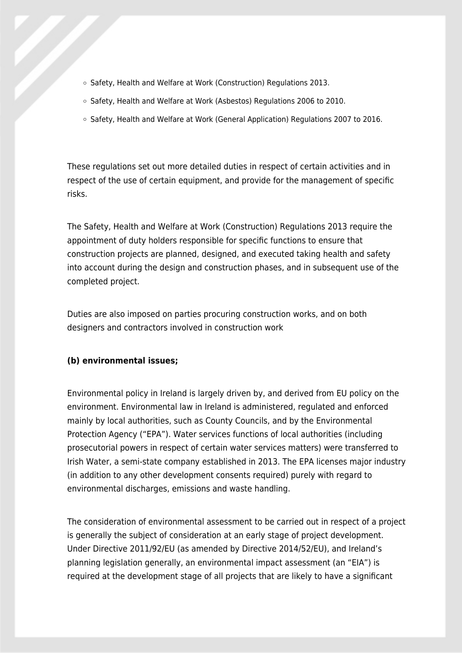- Safety, Health and Welfare at Work (Construction) Regulations 2013.
- Safety, Health and Welfare at Work (Asbestos) Regulations 2006 to 2010.
- Safety, Health and Welfare at Work (General Application) Regulations 2007 to 2016.

These regulations set out more detailed duties in respect of certain activities and in respect of the use of certain equipment, and provide for the management of specific risks.

The Safety, Health and Welfare at Work (Construction) Regulations 2013 require the appointment of duty holders responsible for specific functions to ensure that construction projects are planned, designed, and executed taking health and safety into account during the design and construction phases, and in subsequent use of the completed project.

Duties are also imposed on parties procuring construction works, and on both designers and contractors involved in construction work

#### **(b) environmental issues;**

Environmental policy in Ireland is largely driven by, and derived from EU policy on the environment. Environmental law in Ireland is administered, regulated and enforced mainly by local authorities, such as County Councils, and by the Environmental Protection Agency ("EPA"). Water services functions of local authorities (including prosecutorial powers in respect of certain water services matters) were transferred to Irish Water, a semi-state company established in 2013. The EPA licenses major industry (in addition to any other development consents required) purely with regard to environmental discharges, emissions and waste handling.

The consideration of environmental assessment to be carried out in respect of a project is generally the subject of consideration at an early stage of project development. Under Directive 2011/92/EU (as amended by Directive 2014/52/EU), and Ireland's planning legislation generally, an environmental impact assessment (an "EIA") is required at the development stage of all projects that are likely to have a significant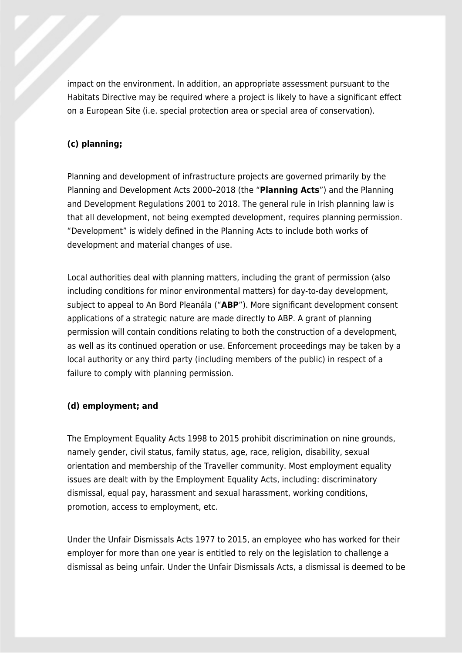impact on the environment. In addition, an appropriate assessment pursuant to the Habitats Directive may be required where a project is likely to have a significant effect on a European Site (i.e. special protection area or special area of conservation).

#### **(c) planning;**

Planning and development of infrastructure projects are governed primarily by the Planning and Development Acts 2000–2018 (the "**Planning Acts**") and the Planning and Development Regulations 2001 to 2018. The general rule in Irish planning law is that all development, not being exempted development, requires planning permission. "Development" is widely defined in the Planning Acts to include both works of development and material changes of use.

Local authorities deal with planning matters, including the grant of permission (also including conditions for minor environmental matters) for day-to-day development, subject to appeal to An Bord Pleanála ("**ABP**"). More significant development consent applications of a strategic nature are made directly to ABP. A grant of planning permission will contain conditions relating to both the construction of a development, as well as its continued operation or use. Enforcement proceedings may be taken by a local authority or any third party (including members of the public) in respect of a failure to comply with planning permission.

#### **(d) employment; and**

The Employment Equality Acts 1998 to 2015 prohibit discrimination on nine grounds, namely gender, civil status, family status, age, race, religion, disability, sexual orientation and membership of the Traveller community. Most employment equality issues are dealt with by the Employment Equality Acts, including: discriminatory dismissal, equal pay, harassment and sexual harassment, working conditions, promotion, access to employment, etc.

Under the Unfair Dismissals Acts 1977 to 2015, an employee who has worked for their employer for more than one year is entitled to rely on the legislation to challenge a dismissal as being unfair. Under the Unfair Dismissals Acts, a dismissal is deemed to be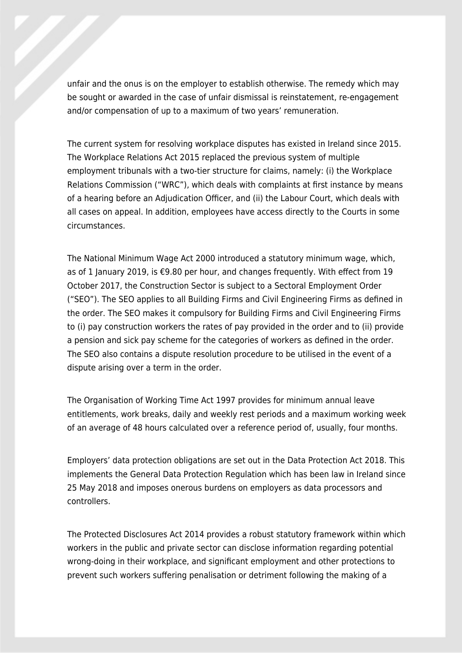unfair and the onus is on the employer to establish otherwise. The remedy which may be sought or awarded in the case of unfair dismissal is reinstatement, re-engagement and/or compensation of up to a maximum of two years' remuneration.

The current system for resolving workplace disputes has existed in Ireland since 2015. The Workplace Relations Act 2015 replaced the previous system of multiple employment tribunals with a two-tier structure for claims, namely: (i) the Workplace Relations Commission ("WRC"), which deals with complaints at first instance by means of a hearing before an Adjudication Officer, and (ii) the Labour Court, which deals with all cases on appeal. In addition, employees have access directly to the Courts in some circumstances.

The National Minimum Wage Act 2000 introduced a statutory minimum wage, which, as of 1 January 2019, is €9.80 per hour, and changes frequently. With effect from 19 October 2017, the Construction Sector is subject to a Sectoral Employment Order ("SEO"). The SEO applies to all Building Firms and Civil Engineering Firms as defined in the order. The SEO makes it compulsory for Building Firms and Civil Engineering Firms to (i) pay construction workers the rates of pay provided in the order and to (ii) provide a pension and sick pay scheme for the categories of workers as defined in the order. The SEO also contains a dispute resolution procedure to be utilised in the event of a dispute arising over a term in the order.

The Organisation of Working Time Act 1997 provides for minimum annual leave entitlements, work breaks, daily and weekly rest periods and a maximum working week of an average of 48 hours calculated over a reference period of, usually, four months.

Employers' data protection obligations are set out in the Data Protection Act 2018. This implements the General Data Protection Regulation which has been law in Ireland since 25 May 2018 and imposes onerous burdens on employers as data processors and controllers.

The Protected Disclosures Act 2014 provides a robust statutory framework within which workers in the public and private sector can disclose information regarding potential wrong-doing in their workplace, and significant employment and other protections to prevent such workers suffering penalisation or detriment following the making of a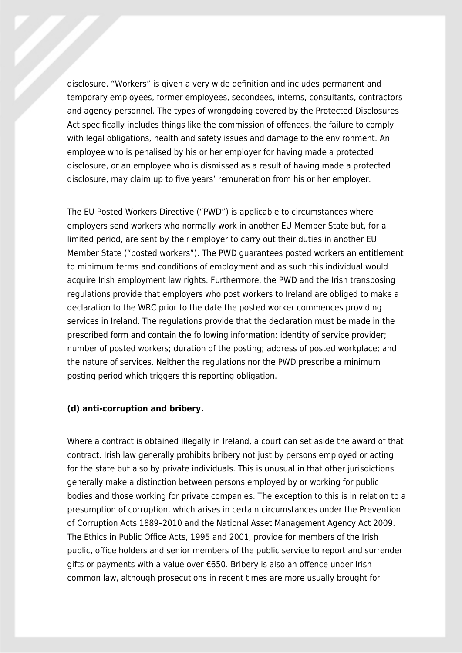disclosure. "Workers" is given a very wide definition and includes permanent and temporary employees, former employees, secondees, interns, consultants, contractors and agency personnel. The types of wrongdoing covered by the Protected Disclosures Act specifically includes things like the commission of offences, the failure to comply with legal obligations, health and safety issues and damage to the environment. An employee who is penalised by his or her employer for having made a protected disclosure, or an employee who is dismissed as a result of having made a protected disclosure, may claim up to five years' remuneration from his or her employer.

The EU Posted Workers Directive ("PWD") is applicable to circumstances where employers send workers who normally work in another EU Member State but, for a limited period, are sent by their employer to carry out their duties in another EU Member State ("posted workers"). The PWD guarantees posted workers an entitlement to minimum terms and conditions of employment and as such this individual would acquire Irish employment law rights. Furthermore, the PWD and the Irish transposing regulations provide that employers who post workers to Ireland are obliged to make a declaration to the WRC prior to the date the posted worker commences providing services in Ireland. The regulations provide that the declaration must be made in the prescribed form and contain the following information: identity of service provider; number of posted workers; duration of the posting; address of posted workplace; and the nature of services. Neither the regulations nor the PWD prescribe a minimum posting period which triggers this reporting obligation.

#### **(d) anti-corruption and bribery.**

Where a contract is obtained illegally in Ireland, a court can set aside the award of that contract. Irish law generally prohibits bribery not just by persons employed or acting for the state but also by private individuals. This is unusual in that other jurisdictions generally make a distinction between persons employed by or working for public bodies and those working for private companies. The exception to this is in relation to a presumption of corruption, which arises in certain circumstances under the Prevention of Corruption Acts 1889–2010 and the National Asset Management Agency Act 2009. The Ethics in Public Office Acts, 1995 and 2001, provide for members of the Irish public, office holders and senior members of the public service to report and surrender gifts or payments with a value over €650. Bribery is also an offence under Irish common law, although prosecutions in recent times are more usually brought for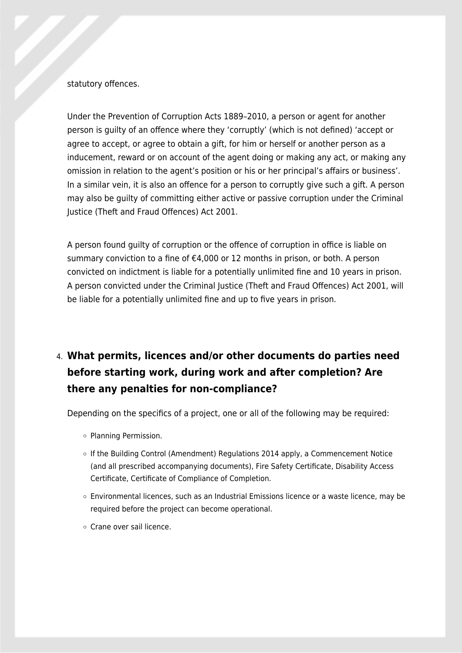#### statutory offences.

Under the Prevention of Corruption Acts 1889–2010, a person or agent for another person is guilty of an offence where they 'corruptly' (which is not defined) 'accept or agree to accept, or agree to obtain a gift, for him or herself or another person as a inducement, reward or on account of the agent doing or making any act, or making any omission in relation to the agent's position or his or her principal's affairs or business'. In a similar vein, it is also an offence for a person to corruptly give such a gift. A person may also be guilty of committing either active or passive corruption under the Criminal Justice (Theft and Fraud Offences) Act 2001.

A person found guilty of corruption or the offence of corruption in office is liable on summary conviction to a fine of €4,000 or 12 months in prison, or both. A person convicted on indictment is liable for a potentially unlimited fine and 10 years in prison. A person convicted under the Criminal Justice (Theft and Fraud Offences) Act 2001, will be liable for a potentially unlimited fine and up to five years in prison.

# 4. **What permits, licences and/or other documents do parties need before starting work, during work and after completion? Are there any penalties for non-compliance?**

Depending on the specifics of a project, one or all of the following may be required:

- Planning Permission.
- If the Building Control (Amendment) Regulations 2014 apply, a Commencement Notice (and all prescribed accompanying documents), Fire Safety Certificate, Disability Access Certificate, Certificate of Compliance of Completion.
- Environmental licences, such as an Industrial Emissions licence or a waste licence, may be required before the project can become operational.
- Crane over sail licence.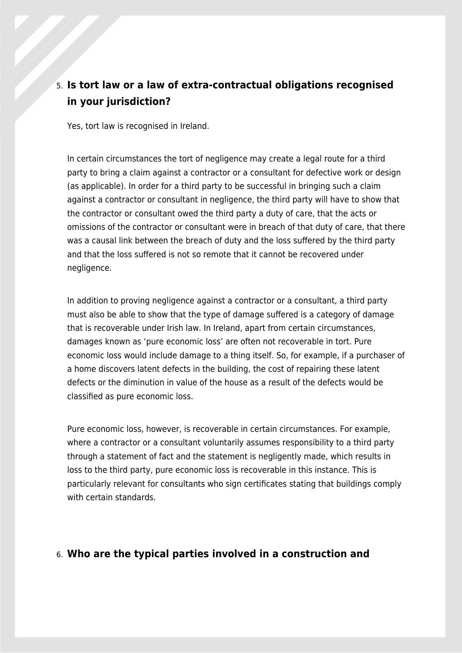## 5. **Is tort law or a law of extra-contractual obligations recognised in your jurisdiction?**

Yes, tort law is recognised in Ireland.

In certain circumstances the tort of negligence may create a legal route for a third party to bring a claim against a contractor or a consultant for defective work or design (as applicable). In order for a third party to be successful in bringing such a claim against a contractor or consultant in negligence, the third party will have to show that the contractor or consultant owed the third party a duty of care, that the acts or omissions of the contractor or consultant were in breach of that duty of care, that there was a causal link between the breach of duty and the loss suffered by the third party and that the loss suffered is not so remote that it cannot be recovered under negligence.

In addition to proving negligence against a contractor or a consultant, a third party must also be able to show that the type of damage suffered is a category of damage that is recoverable under Irish law. In Ireland, apart from certain circumstances, damages known as 'pure economic loss' are often not recoverable in tort. Pure economic loss would include damage to a thing itself. So, for example, if a purchaser of a home discovers latent defects in the building, the cost of repairing these latent defects or the diminution in value of the house as a result of the defects would be classified as pure economic loss.

Pure economic loss, however, is recoverable in certain circumstances. For example, where a contractor or a consultant voluntarily assumes responsibility to a third party through a statement of fact and the statement is negligently made, which results in loss to the third party, pure economic loss is recoverable in this instance. This is particularly relevant for consultants who sign certificates stating that buildings comply with certain standards.

### 6. **Who are the typical parties involved in a construction and**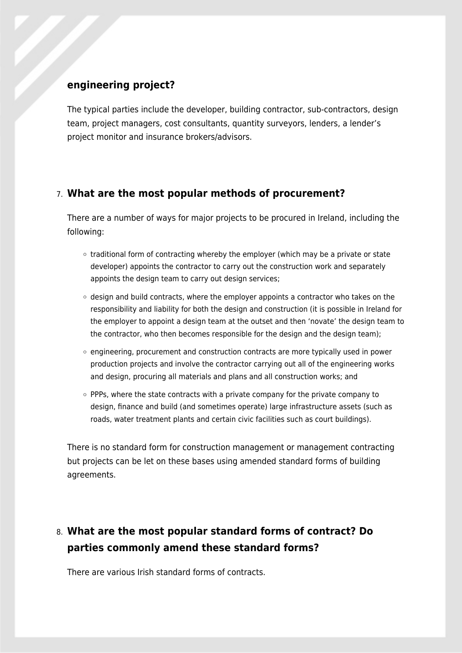### **engineering project?**

The typical parties include the developer, building contractor, sub-contractors, design team, project managers, cost consultants, quantity surveyors, lenders, a lender's project monitor and insurance brokers/advisors.

### 7. **What are the most popular methods of procurement?**

There are a number of ways for major projects to be procured in Ireland, including the following:

- $\circ$  traditional form of contracting whereby the employer (which may be a private or state developer) appoints the contractor to carry out the construction work and separately appoints the design team to carry out design services;
- $\circ$  design and build contracts, where the employer appoints a contractor who takes on the responsibility and liability for both the design and construction (it is possible in Ireland for the employer to appoint a design team at the outset and then 'novate' the design team to the contractor, who then becomes responsible for the design and the design team);
- $\circ$  engineering, procurement and construction contracts are more typically used in power production projects and involve the contractor carrying out all of the engineering works and design, procuring all materials and plans and all construction works; and
- $\circ$  PPPs, where the state contracts with a private company for the private company to design, finance and build (and sometimes operate) large infrastructure assets (such as roads, water treatment plants and certain civic facilities such as court buildings).

There is no standard form for construction management or management contracting but projects can be let on these bases using amended standard forms of building agreements.

## 8. **What are the most popular standard forms of contract? Do parties commonly amend these standard forms?**

There are various Irish standard forms of contracts.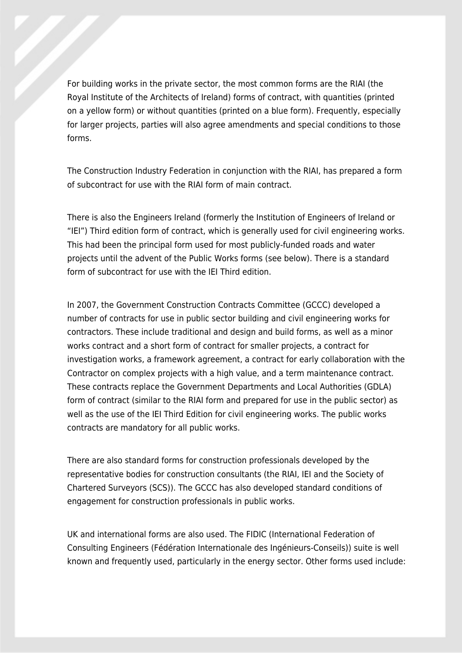For building works in the private sector, the most common forms are the RIAI (the Royal Institute of the Architects of Ireland) forms of contract, with quantities (printed on a yellow form) or without quantities (printed on a blue form). Frequently, especially for larger projects, parties will also agree amendments and special conditions to those forms.

The Construction Industry Federation in conjunction with the RIAI, has prepared a form of subcontract for use with the RIAI form of main contract.

There is also the Engineers Ireland (formerly the Institution of Engineers of Ireland or "IEI") Third edition form of contract, which is generally used for civil engineering works. This had been the principal form used for most publicly-funded roads and water projects until the advent of the Public Works forms (see below). There is a standard form of subcontract for use with the IEI Third edition.

In 2007, the Government Construction Contracts Committee (GCCC) developed a number of contracts for use in public sector building and civil engineering works for contractors. These include traditional and design and build forms, as well as a minor works contract and a short form of contract for smaller projects, a contract for investigation works, a framework agreement, a contract for early collaboration with the Contractor on complex projects with a high value, and a term maintenance contract. These contracts replace the Government Departments and Local Authorities (GDLA) form of contract (similar to the RIAI form and prepared for use in the public sector) as well as the use of the IEI Third Edition for civil engineering works. The public works contracts are mandatory for all public works.

There are also standard forms for construction professionals developed by the representative bodies for construction consultants (the RIAI, IEI and the Society of Chartered Surveyors (SCS)). The GCCC has also developed standard conditions of engagement for construction professionals in public works.

UK and international forms are also used. The FIDIC (International Federation of Consulting Engineers (Fédération Internationale des Ingénieurs-Conseils)) suite is well known and frequently used, particularly in the energy sector. Other forms used include: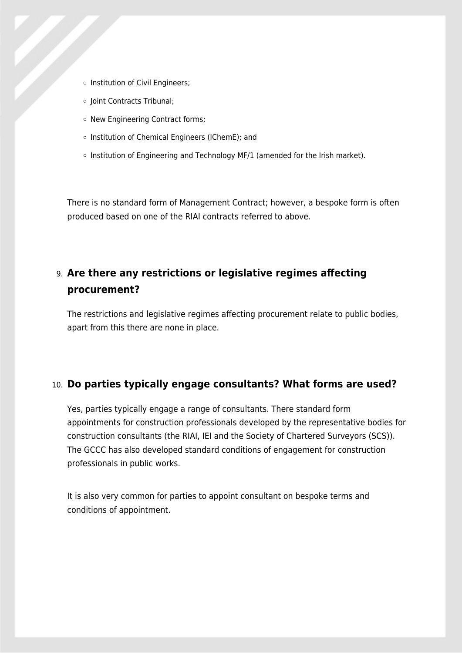- o Institution of Civil Engineers;
- o Joint Contracts Tribunal;
- o New Engineering Contract forms;
- o Institution of Chemical Engineers (IChemE); and
- $\circ$  Institution of Engineering and Technology MF/1 (amended for the Irish market).

There is no standard form of Management Contract; however, a bespoke form is often produced based on one of the RIAI contracts referred to above.

### 9. **Are there any restrictions or legislative regimes affecting procurement?**

The restrictions and legislative regimes affecting procurement relate to public bodies, apart from this there are none in place.

### 10. **Do parties typically engage consultants? What forms are used?**

Yes, parties typically engage a range of consultants. There standard form appointments for construction professionals developed by the representative bodies for construction consultants (the RIAI, IEI and the Society of Chartered Surveyors (SCS)). The GCCC has also developed standard conditions of engagement for construction professionals in public works.

It is also very common for parties to appoint consultant on bespoke terms and conditions of appointment.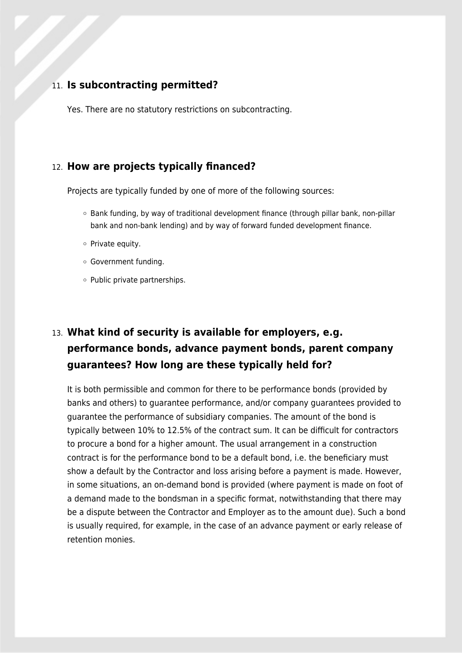#### 11. **Is subcontracting permitted?**

Yes. There are no statutory restrictions on subcontracting.

### 12. **How are projects typically financed?**

Projects are typically funded by one of more of the following sources:

- Bank funding, by way of traditional development finance (through pillar bank, non-pillar bank and non-bank lending) and by way of forward funded development finance.
- o Private equity.
- Government funding.
- $\circ$  Public private partnerships.

# 13. **What kind of security is available for employers, e.g. performance bonds, advance payment bonds, parent company guarantees? How long are these typically held for?**

It is both permissible and common for there to be performance bonds (provided by banks and others) to guarantee performance, and/or company guarantees provided to guarantee the performance of subsidiary companies. The amount of the bond is typically between 10% to 12.5% of the contract sum. It can be difficult for contractors to procure a bond for a higher amount. The usual arrangement in a construction contract is for the performance bond to be a default bond, i.e. the beneficiary must show a default by the Contractor and loss arising before a payment is made. However, in some situations, an on-demand bond is provided (where payment is made on foot of a demand made to the bondsman in a specific format, notwithstanding that there may be a dispute between the Contractor and Employer as to the amount due). Such a bond is usually required, for example, in the case of an advance payment or early release of retention monies.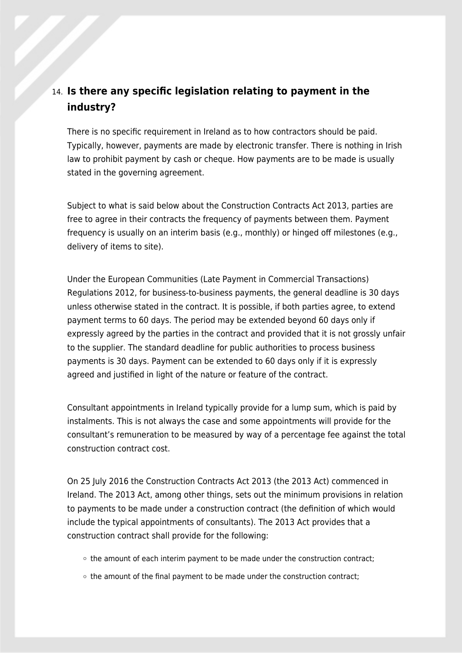## 14. **Is there any specific legislation relating to payment in the industry?**

There is no specific requirement in Ireland as to how contractors should be paid. Typically, however, payments are made by electronic transfer. There is nothing in Irish law to prohibit payment by cash or cheque. How payments are to be made is usually stated in the governing agreement.

Subject to what is said below about the Construction Contracts Act 2013, parties are free to agree in their contracts the frequency of payments between them. Payment frequency is usually on an interim basis (e.g., monthly) or hinged off milestones (e.g., delivery of items to site).

Under the European Communities (Late Payment in Commercial Transactions) Regulations 2012, for business-to-business payments, the general deadline is 30 days unless otherwise stated in the contract. It is possible, if both parties agree, to extend payment terms to 60 days. The period may be extended beyond 60 days only if expressly agreed by the parties in the contract and provided that it is not grossly unfair to the supplier. The standard deadline for public authorities to process business payments is 30 days. Payment can be extended to 60 days only if it is expressly agreed and justified in light of the nature or feature of the contract.

Consultant appointments in Ireland typically provide for a lump sum, which is paid by instalments. This is not always the case and some appointments will provide for the consultant's remuneration to be measured by way of a percentage fee against the total construction contract cost.

On 25 July 2016 the Construction Contracts Act 2013 (the 2013 Act) commenced in Ireland. The 2013 Act, among other things, sets out the minimum provisions in relation to payments to be made under a construction contract (the definition of which would include the typical appointments of consultants). The 2013 Act provides that a construction contract shall provide for the following:

- $\circ$  the amount of each interim payment to be made under the construction contract;
- $\circ$  the amount of the final payment to be made under the construction contract;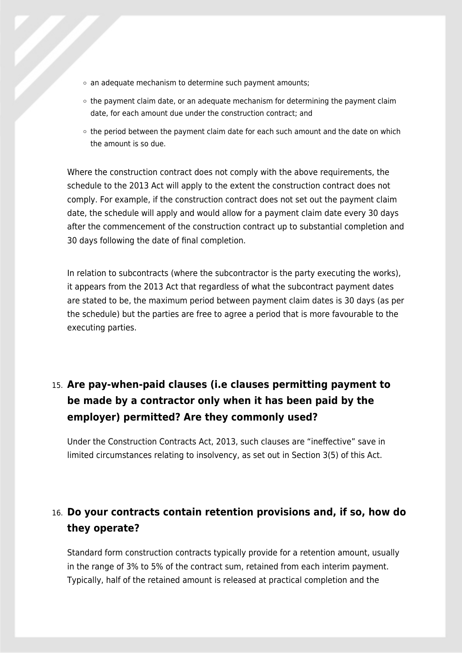- $\circ$  an adequate mechanism to determine such payment amounts;
- $\circ$  the payment claim date, or an adequate mechanism for determining the payment claim date, for each amount due under the construction contract; and
- $\circ$  the period between the payment claim date for each such amount and the date on which the amount is so due.

Where the construction contract does not comply with the above requirements, the schedule to the 2013 Act will apply to the extent the construction contract does not comply. For example, if the construction contract does not set out the payment claim date, the schedule will apply and would allow for a payment claim date every 30 days after the commencement of the construction contract up to substantial completion and 30 days following the date of final completion.

In relation to subcontracts (where the subcontractor is the party executing the works), it appears from the 2013 Act that regardless of what the subcontract payment dates are stated to be, the maximum period between payment claim dates is 30 days (as per the schedule) but the parties are free to agree a period that is more favourable to the executing parties.

# 15. **Are pay-when-paid clauses (i.e clauses permitting payment to be made by a contractor only when it has been paid by the employer) permitted? Are they commonly used?**

Under the Construction Contracts Act, 2013, such clauses are "ineffective" save in limited circumstances relating to insolvency, as set out in Section 3(5) of this Act.

## 16. **Do your contracts contain retention provisions and, if so, how do they operate?**

Standard form construction contracts typically provide for a retention amount, usually in the range of 3% to 5% of the contract sum, retained from each interim payment. Typically, half of the retained amount is released at practical completion and the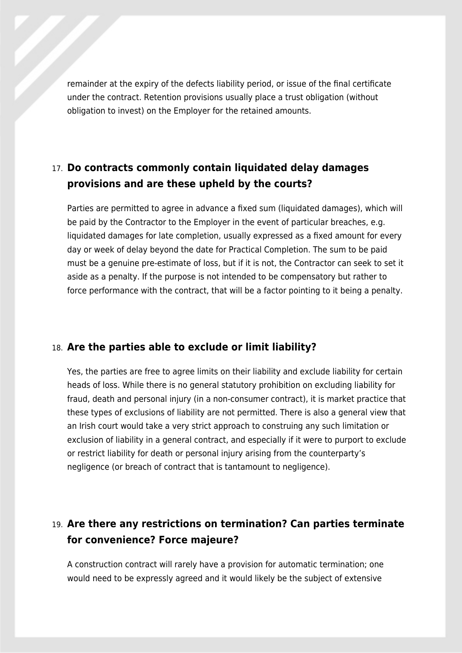remainder at the expiry of the defects liability period, or issue of the final certificate under the contract. Retention provisions usually place a trust obligation (without obligation to invest) on the Employer for the retained amounts.

## 17. **Do contracts commonly contain liquidated delay damages provisions and are these upheld by the courts?**

Parties are permitted to agree in advance a fixed sum (liquidated damages), which will be paid by the Contractor to the Employer in the event of particular breaches, e.g. liquidated damages for late completion, usually expressed as a fixed amount for every day or week of delay beyond the date for Practical Completion. The sum to be paid must be a genuine pre-estimate of loss, but if it is not, the Contractor can seek to set it aside as a penalty. If the purpose is not intended to be compensatory but rather to force performance with the contract, that will be a factor pointing to it being a penalty.

#### 18. **Are the parties able to exclude or limit liability?**

Yes, the parties are free to agree limits on their liability and exclude liability for certain heads of loss. While there is no general statutory prohibition on excluding liability for fraud, death and personal injury (in a non-consumer contract), it is market practice that these types of exclusions of liability are not permitted. There is also a general view that an Irish court would take a very strict approach to construing any such limitation or exclusion of liability in a general contract, and especially if it were to purport to exclude or restrict liability for death or personal injury arising from the counterparty's negligence (or breach of contract that is tantamount to negligence).

## 19. **Are there any restrictions on termination? Can parties terminate for convenience? Force majeure?**

A construction contract will rarely have a provision for automatic termination; one would need to be expressly agreed and it would likely be the subject of extensive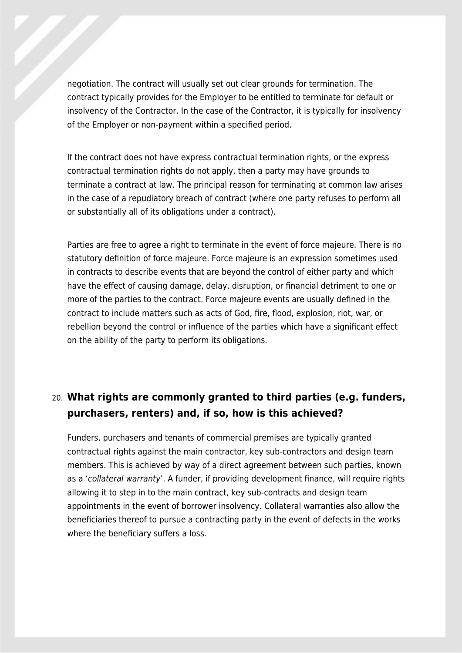negotiation. The contract will usually set out clear grounds for termination. The contract typically provides for the Employer to be entitled to terminate for default or insolvency of the Contractor. In the case of the Contractor, it is typically for insolvency of the Employer or non-payment within a specified period.

If the contract does not have express contractual termination rights, or the express contractual termination rights do not apply, then a party may have grounds to terminate a contract at law. The principal reason for terminating at common law arises in the case of a repudiatory breach of contract (where one party refuses to perform all or substantially all of its obligations under a contract).

Parties are free to agree a right to terminate in the event of force majeure. There is no statutory definition of force majeure. Force majeure is an expression sometimes used in contracts to describe events that are beyond the control of either party and which have the effect of causing damage, delay, disruption, or financial detriment to one or more of the parties to the contract. Force majeure events are usually defined in the contract to include matters such as acts of God, fire, flood, explosion, riot, war, or rebellion beyond the control or influence of the parties which have a significant effect on the ability of the party to perform its obligations.

## 20. **What rights are commonly granted to third parties (e.g. funders, purchasers, renters) and, if so, how is this achieved?**

Funders, purchasers and tenants of commercial premises are typically granted contractual rights against the main contractor, key sub-contractors and design team members. This is achieved by way of a direct agreement between such parties, known as a 'collateral warranty'. A funder, if providing development finance, will require rights allowing it to step in to the main contract, key sub-contracts and design team appointments in the event of borrower insolvency. Collateral warranties also allow the beneficiaries thereof to pursue a contracting party in the event of defects in the works where the beneficiary suffers a loss.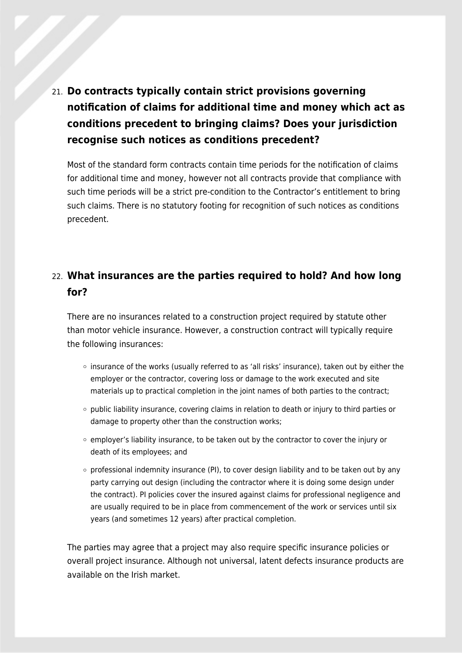21. **Do contracts typically contain strict provisions governing notification of claims for additional time and money which act as conditions precedent to bringing claims? Does your jurisdiction recognise such notices as conditions precedent?**

Most of the standard form contracts contain time periods for the notification of claims for additional time and money, however not all contracts provide that compliance with such time periods will be a strict pre-condition to the Contractor's entitlement to bring such claims. There is no statutory footing for recognition of such notices as conditions precedent.

## 22. **What insurances are the parties required to hold? And how long for?**

There are no insurances related to a construction project required by statute other than motor vehicle insurance. However, a construction contract will typically require the following insurances:

- insurance of the works (usually referred to as 'all risks' insurance), taken out by either the employer or the contractor, covering loss or damage to the work executed and site materials up to practical completion in the joint names of both parties to the contract;
- $\circ$  public liability insurance, covering claims in relation to death or injury to third parties or damage to property other than the construction works;
- $\circ$  employer's liability insurance, to be taken out by the contractor to cover the injury or death of its employees; and
- $\circ$  professional indemnity insurance (PI), to cover design liability and to be taken out by any party carrying out design (including the contractor where it is doing some design under the contract). PI policies cover the insured against claims for professional negligence and are usually required to be in place from commencement of the work or services until six years (and sometimes 12 years) after practical completion.

The parties may agree that a project may also require specific insurance policies or overall project insurance. Although not universal, latent defects insurance products are available on the Irish market.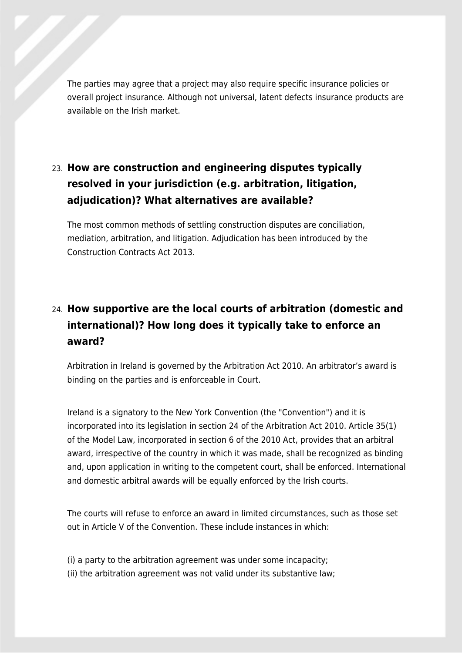The parties may agree that a project may also require specific insurance policies or overall project insurance. Although not universal, latent defects insurance products are available on the Irish market.

# 23. **How are construction and engineering disputes typically resolved in your jurisdiction (e.g. arbitration, litigation, adjudication)? What alternatives are available?**

The most common methods of settling construction disputes are conciliation, mediation, arbitration, and litigation. Adjudication has been introduced by the Construction Contracts Act 2013.

# 24. **How supportive are the local courts of arbitration (domestic and international)? How long does it typically take to enforce an award?**

Arbitration in Ireland is governed by the Arbitration Act 2010. An arbitrator's award is binding on the parties and is enforceable in Court.

Ireland is a signatory to the New York Convention (the "Convention") and it is incorporated into its legislation in section 24 of the Arbitration Act 2010. Article 35(1) of the Model Law, incorporated in section 6 of the 2010 Act, provides that an arbitral award, irrespective of the country in which it was made, shall be recognized as binding and, upon application in writing to the competent court, shall be enforced. International and domestic arbitral awards will be equally enforced by the Irish courts.

The courts will refuse to enforce an award in limited circumstances, such as those set out in Article V of the Convention. These include instances in which:

(i) a party to the arbitration agreement was under some incapacity; (ii) the arbitration agreement was not valid under its substantive law;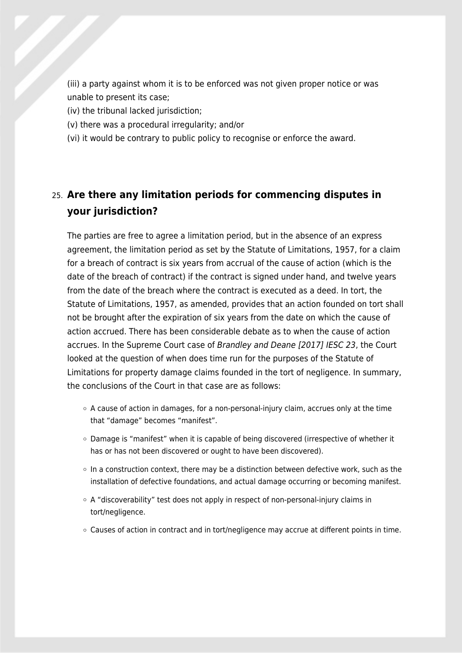(iii) a party against whom it is to be enforced was not given proper notice or was unable to present its case;

- (iv) the tribunal lacked jurisdiction;
- (v) there was a procedural irregularity; and/or
- (vi) it would be contrary to public policy to recognise or enforce the award.

## 25. **Are there any limitation periods for commencing disputes in your jurisdiction?**

The parties are free to agree a limitation period, but in the absence of an express agreement, the limitation period as set by the Statute of Limitations, 1957, for a claim for a breach of contract is six years from accrual of the cause of action (which is the date of the breach of contract) if the contract is signed under hand, and twelve years from the date of the breach where the contract is executed as a deed. In tort, the Statute of Limitations, 1957, as amended, provides that an action founded on tort shall not be brought after the expiration of six years from the date on which the cause of action accrued. There has been considerable debate as to when the cause of action accrues. In the Supreme Court case of Brandley and Deane [2017] IESC 23, the Court looked at the question of when does time run for the purposes of the Statute of Limitations for property damage claims founded in the tort of negligence. In summary, the conclusions of the Court in that case are as follows:

- A cause of action in damages, for a non-personal-injury claim, accrues only at the time that "damage" becomes "manifest".
- $\circ$  Damage is "manifest" when it is capable of being discovered (irrespective of whether it has or has not been discovered or ought to have been discovered).
- $\circ$  In a construction context, there may be a distinction between defective work, such as the installation of defective foundations, and actual damage occurring or becoming manifest.
- $\circ$  A "discoverability" test does not apply in respect of non-personal-injury claims in tort/negligence.
- Causes of action in contract and in tort/negligence may accrue at different points in time.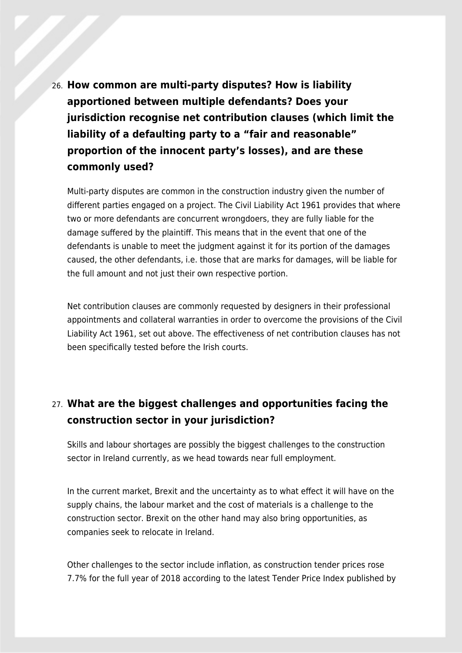26. **How common are multi-party disputes? How is liability apportioned between multiple defendants? Does your jurisdiction recognise net contribution clauses (which limit the liability of a defaulting party to a "fair and reasonable" proportion of the innocent party's losses), and are these commonly used?**

Multi-party disputes are common in the construction industry given the number of different parties engaged on a project. The Civil Liability Act 1961 provides that where two or more defendants are concurrent wrongdoers, they are fully liable for the damage suffered by the plaintiff. This means that in the event that one of the defendants is unable to meet the judgment against it for its portion of the damages caused, the other defendants, i.e. those that are marks for damages, will be liable for the full amount and not just their own respective portion.

Net contribution clauses are commonly requested by designers in their professional appointments and collateral warranties in order to overcome the provisions of the Civil Liability Act 1961, set out above. The effectiveness of net contribution clauses has not been specifically tested before the Irish courts.

## 27. **What are the biggest challenges and opportunities facing the construction sector in your jurisdiction?**

Skills and labour shortages are possibly the biggest challenges to the construction sector in Ireland currently, as we head towards near full employment.

In the current market, Brexit and the uncertainty as to what effect it will have on the supply chains, the labour market and the cost of materials is a challenge to the construction sector. Brexit on the other hand may also bring opportunities, as companies seek to relocate in Ireland.

Other challenges to the sector include inflation, as construction tender prices rose 7.7% for the full year of 2018 according to the latest Tender Price Index published by